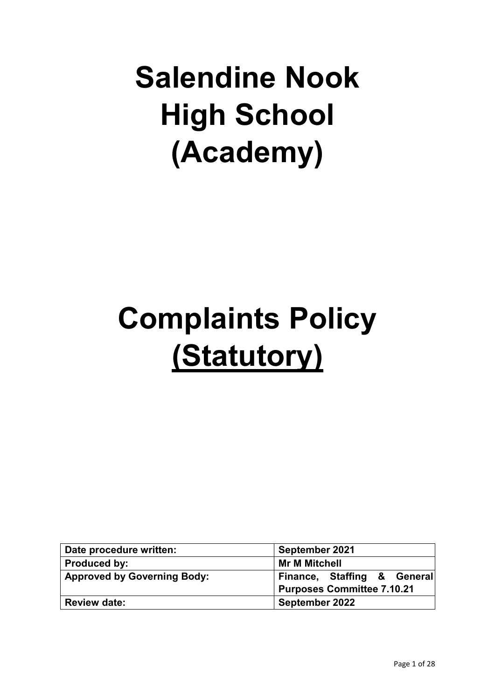# **Salendine Nook High School (Academy)**

# **Complaints Policy (Statutory)**

| Date procedure written:            | September 2021                                                   |
|------------------------------------|------------------------------------------------------------------|
| <b>Produced by:</b>                | <b>Mr M Mitchell</b>                                             |
| <b>Approved by Governing Body:</b> | Finance, Staffing & General<br><b>Purposes Committee 7.10.21</b> |
| <b>Review date:</b>                | September 2022                                                   |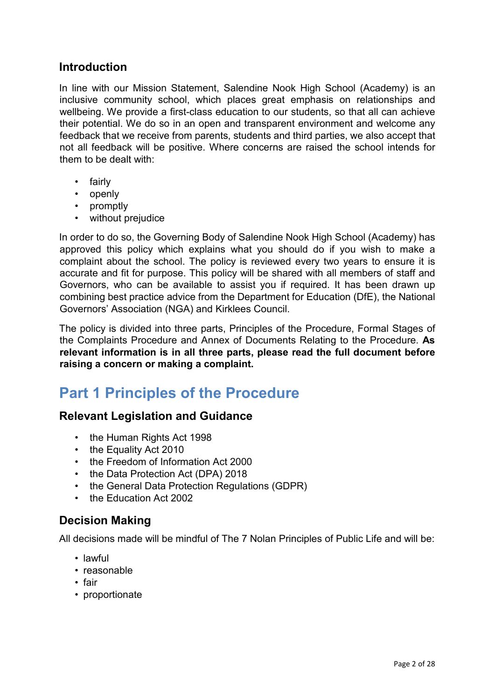#### **Introduction**

In line with our Mission Statement, Salendine Nook High School (Academy) is an inclusive community school, which places great emphasis on relationships and wellbeing. We provide a first-class education to our students, so that all can achieve their potential. We do so in an open and transparent environment and welcome any feedback that we receive from parents, students and third parties, we also accept that not all feedback will be positive. Where concerns are raised the school intends for them to be dealt with:

- fairly
- openly
- promptly
- without prejudice

In order to do so, the Governing Body of Salendine Nook High School (Academy) has approved this policy which explains what you should do if you wish to make a complaint about the school. The policy is reviewed every two years to ensure it is accurate and fit for purpose. This policy will be shared with all members of staff and Governors, who can be available to assist you if required. It has been drawn up combining best practice advice from the Department for Education (DfE), the National Governors' Association (NGA) and Kirklees Council.

The policy is divided into three parts, Principles of the Procedure, Formal Stages of the Complaints Procedure and Annex of Documents Relating to the Procedure. **As relevant information is in all three parts, please read the full document before raising a concern or making a complaint.** 

# **Part 1 Principles of the Procedure**

#### **Relevant Legislation and Guidance**

- the Human Rights Act 1998
- the Equality Act 2010
- the Freedom of Information Act 2000
- the Data Protection Act (DPA) 2018
- the General Data Protection Regulations (GDPR)
- the Education Act 2002

#### **Decision Making**

All decisions made will be mindful of The 7 Nolan Principles of Public Life and will be:

- lawful
- reasonable
- fair
- proportionate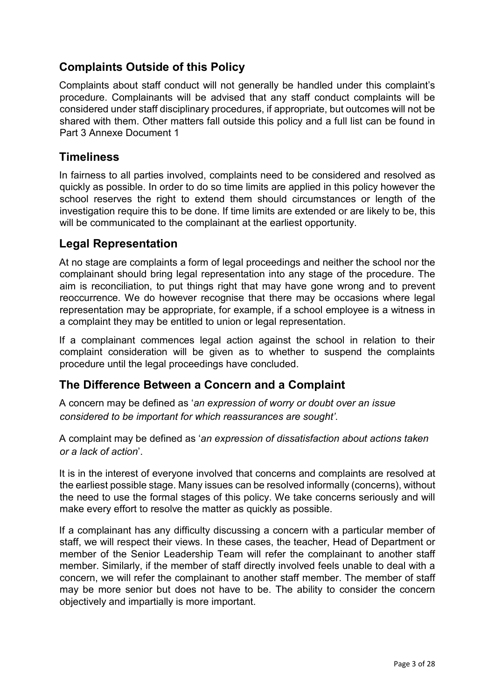# **Complaints Outside of this Policy**

Complaints about staff conduct will not generally be handled under this complaint's procedure. Complainants will be advised that any staff conduct complaints will be considered under staff disciplinary procedures, if appropriate, but outcomes will not be shared with them. Other matters fall outside this policy and a full list can be found in Part 3 Annexe Document 1

#### **Timeliness**

In fairness to all parties involved, complaints need to be considered and resolved as quickly as possible. In order to do so time limits are applied in this policy however the school reserves the right to extend them should circumstances or length of the investigation require this to be done. If time limits are extended or are likely to be, this will be communicated to the complainant at the earliest opportunity.

## **Legal Representation**

At no stage are complaints a form of legal proceedings and neither the school nor the complainant should bring legal representation into any stage of the procedure. The aim is reconciliation, to put things right that may have gone wrong and to prevent reoccurrence. We do however recognise that there may be occasions where legal representation may be appropriate, for example, if a school employee is a witness in a complaint they may be entitled to union or legal representation.

If a complainant commences legal action against the school in relation to their complaint consideration will be given as to whether to suspend the complaints procedure until the legal proceedings have concluded.

# **The Difference Between a Concern and a Complaint**

A concern may be defined as '*an expression of worry or doubt over an issue considered to be important for which reassurances are sought'*.

A complaint may be defined as '*an expression of dissatisfaction about actions taken or a lack of action*'.

It is in the interest of everyone involved that concerns and complaints are resolved at the earliest possible stage. Many issues can be resolved informally (concerns), without the need to use the formal stages of this policy. We take concerns seriously and will make every effort to resolve the matter as quickly as possible.

If a complainant has any difficulty discussing a concern with a particular member of staff, we will respect their views. In these cases, the teacher, Head of Department or member of the Senior Leadership Team will refer the complainant to another staff member. Similarly, if the member of staff directly involved feels unable to deal with a concern, we will refer the complainant to another staff member. The member of staff may be more senior but does not have to be. The ability to consider the concern objectively and impartially is more important.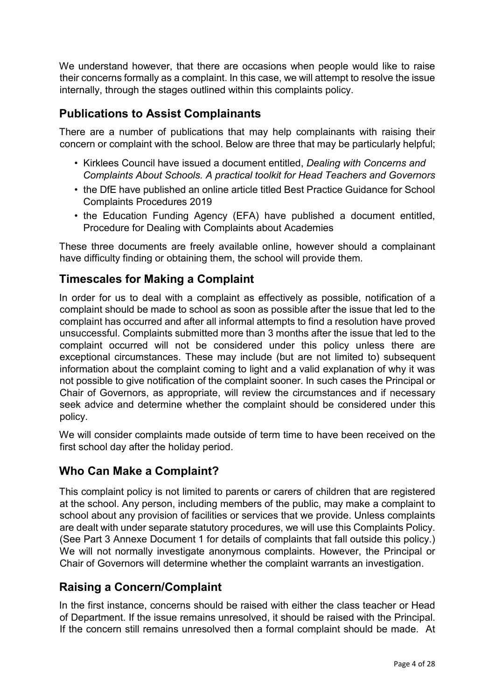We understand however, that there are occasions when people would like to raise their concerns formally as a complaint. In this case, we will attempt to resolve the issue internally, through the stages outlined within this complaints policy.

## **Publications to Assist Complainants**

There are a number of publications that may help complainants with raising their concern or complaint with the school. Below are three that may be particularly helpful;

- Kirklees Council have issued a document entitled, *Dealing with Concerns and Complaints About Schools. A practical toolkit for Head Teachers and Governors*
- the DfE have published an online article titled Best Practice Guidance for School Complaints Procedures 2019
- the Education Funding Agency (EFA) have published a document entitled, Procedure for Dealing with Complaints about Academies

These three documents are freely available online, however should a complainant have difficulty finding or obtaining them, the school will provide them.

## **Timescales for Making a Complaint**

In order for us to deal with a complaint as effectively as possible, notification of a complaint should be made to school as soon as possible after the issue that led to the complaint has occurred and after all informal attempts to find a resolution have proved unsuccessful. Complaints submitted more than 3 months after the issue that led to the complaint occurred will not be considered under this policy unless there are exceptional circumstances. These may include (but are not limited to) subsequent information about the complaint coming to light and a valid explanation of why it was not possible to give notification of the complaint sooner. In such cases the Principal or Chair of Governors, as appropriate, will review the circumstances and if necessary seek advice and determine whether the complaint should be considered under this policy.

We will consider complaints made outside of term time to have been received on the first school day after the holiday period.

#### **Who Can Make a Complaint?**

This complaint policy is not limited to parents or carers of children that are registered at the school. Any person, including members of the public, may make a complaint to school about any provision of facilities or services that we provide. Unless complaints are dealt with under separate statutory procedures, we will use this Complaints Policy. (See Part 3 Annexe Document 1 for details of complaints that fall outside this policy.) We will not normally investigate anonymous complaints. However, the Principal or Chair of Governors will determine whether the complaint warrants an investigation.

# **Raising a Concern/Complaint**

In the first instance, concerns should be raised with either the class teacher or Head of Department. If the issue remains unresolved, it should be raised with the Principal. If the concern still remains unresolved then a formal complaint should be made. At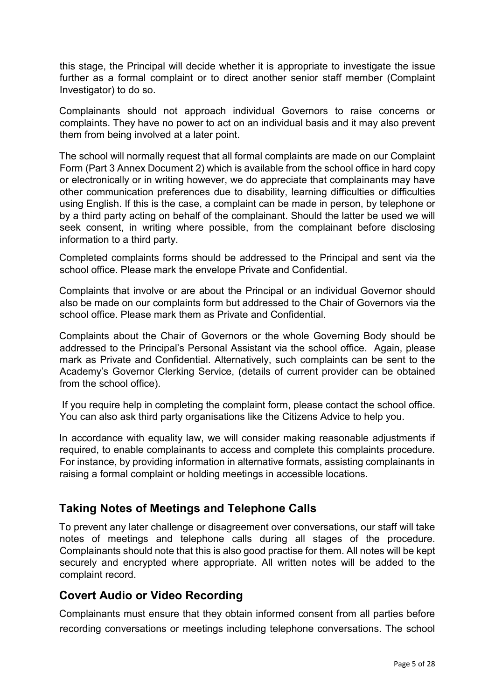this stage, the Principal will decide whether it is appropriate to investigate the issue further as a formal complaint or to direct another senior staff member (Complaint Investigator) to do so.

Complainants should not approach individual Governors to raise concerns or complaints. They have no power to act on an individual basis and it may also prevent them from being involved at a later point.

The school will normally request that all formal complaints are made on our Complaint Form (Part 3 Annex Document 2) which is available from the school office in hard copy or electronically or in writing however, we do appreciate that complainants may have other communication preferences due to disability, learning difficulties or difficulties using English. If this is the case, a complaint can be made in person, by telephone or by a third party acting on behalf of the complainant. Should the latter be used we will seek consent, in writing where possible, from the complainant before disclosing information to a third party.

Completed complaints forms should be addressed to the Principal and sent via the school office. Please mark the envelope Private and Confidential.

Complaints that involve or are about the Principal or an individual Governor should also be made on our complaints form but addressed to the Chair of Governors via the school office. Please mark them as Private and Confidential.

Complaints about the Chair of Governors or the whole Governing Body should be addressed to the Principal's Personal Assistant via the school office. Again, please mark as Private and Confidential. Alternatively, such complaints can be sent to the Academy's Governor Clerking Service, (details of current provider can be obtained from the school office).

If you require help in completing the complaint form, please contact the school office. You can also ask third party organisations like the Citizens Advice to help you.

In accordance with equality law, we will consider making reasonable adjustments if required, to enable complainants to access and complete this complaints procedure. For instance, by providing information in alternative formats, assisting complainants in raising a formal complaint or holding meetings in accessible locations.

#### **Taking Notes of Meetings and Telephone Calls**

To prevent any later challenge or disagreement over conversations, our staff will take notes of meetings and telephone calls during all stages of the procedure. Complainants should note that this is also good practise for them. All notes will be kept securely and encrypted where appropriate. All written notes will be added to the complaint record.

#### **Covert Audio or Video Recording**

Complainants must ensure that they obtain informed consent from all parties before recording conversations or meetings including telephone conversations. The school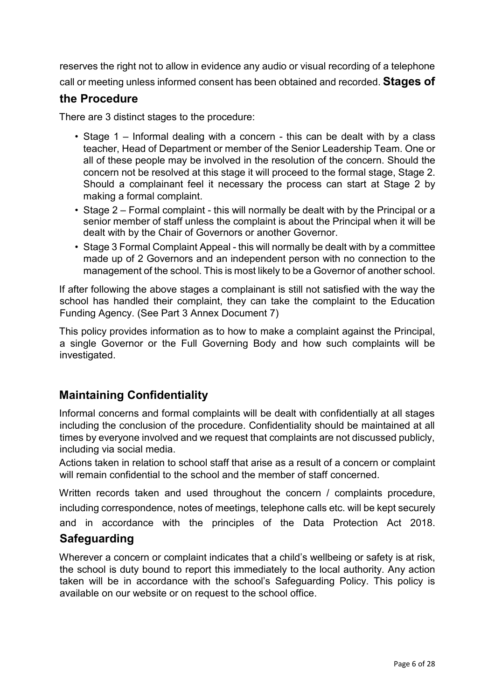reserves the right not to allow in evidence any audio or visual recording of a telephone call or meeting unless informed consent has been obtained and recorded. **Stages of** 

#### **the Procedure**

There are 3 distinct stages to the procedure:

- Stage 1 Informal dealing with a concern this can be dealt with by a class teacher, Head of Department or member of the Senior Leadership Team. One or all of these people may be involved in the resolution of the concern. Should the concern not be resolved at this stage it will proceed to the formal stage, Stage 2. Should a complainant feel it necessary the process can start at Stage 2 by making a formal complaint.
- Stage 2 Formal complaint this will normally be dealt with by the Principal or a senior member of staff unless the complaint is about the Principal when it will be dealt with by the Chair of Governors or another Governor.
- Stage 3 Formal Complaint Appeal this will normally be dealt with by a committee made up of 2 Governors and an independent person with no connection to the management of the school. This is most likely to be a Governor of another school.

If after following the above stages a complainant is still not satisfied with the way the school has handled their complaint, they can take the complaint to the Education Funding Agency. (See Part 3 Annex Document 7)

This policy provides information as to how to make a complaint against the Principal, a single Governor or the Full Governing Body and how such complaints will be investigated.

#### **Maintaining Confidentiality**

Informal concerns and formal complaints will be dealt with confidentially at all stages including the conclusion of the procedure. Confidentiality should be maintained at all times by everyone involved and we request that complaints are not discussed publicly, including via social media.

Actions taken in relation to school staff that arise as a result of a concern or complaint will remain confidential to the school and the member of staff concerned.

Written records taken and used throughout the concern / complaints procedure, including correspondence, notes of meetings, telephone calls etc. will be kept securely and in accordance with the principles of the Data Protection Act 2018.

#### **Safeguarding**

Wherever a concern or complaint indicates that a child's wellbeing or safety is at risk, the school is duty bound to report this immediately to the local authority. Any action taken will be in accordance with the school's Safeguarding Policy. This policy is available on our website or on request to the school office.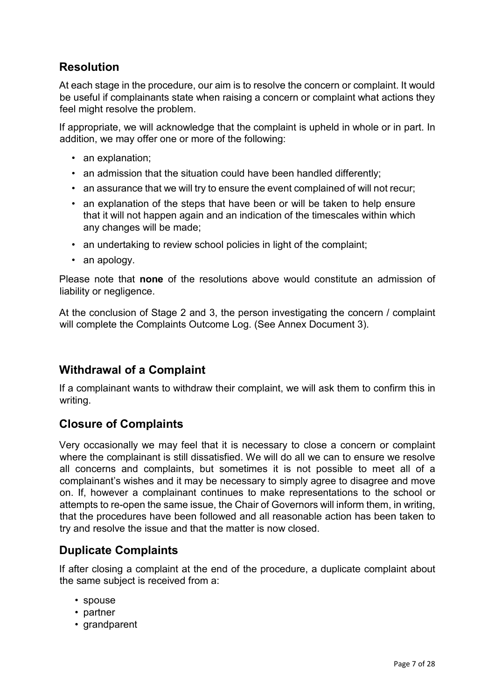# **Resolution**

At each stage in the procedure, our aim is to resolve the concern or complaint. It would be useful if complainants state when raising a concern or complaint what actions they feel might resolve the problem.

If appropriate, we will acknowledge that the complaint is upheld in whole or in part. In addition, we may offer one or more of the following:

- an explanation;
- an admission that the situation could have been handled differently;
- an assurance that we will try to ensure the event complained of will not recur;
- an explanation of the steps that have been or will be taken to help ensure that it will not happen again and an indication of the timescales within which any changes will be made;
- an undertaking to review school policies in light of the complaint:
- an apology.

Please note that **none** of the resolutions above would constitute an admission of liability or negligence.

At the conclusion of Stage 2 and 3, the person investigating the concern / complaint will complete the Complaints Outcome Log. (See Annex Document 3).

# **Withdrawal of a Complaint**

If a complainant wants to withdraw their complaint, we will ask them to confirm this in writing.

# **Closure of Complaints**

Very occasionally we may feel that it is necessary to close a concern or complaint where the complainant is still dissatisfied. We will do all we can to ensure we resolve all concerns and complaints, but sometimes it is not possible to meet all of a complainant's wishes and it may be necessary to simply agree to disagree and move on. If, however a complainant continues to make representations to the school or attempts to re-open the same issue, the Chair of Governors will inform them, in writing, that the procedures have been followed and all reasonable action has been taken to try and resolve the issue and that the matter is now closed.

# **Duplicate Complaints**

If after closing a complaint at the end of the procedure, a duplicate complaint about the same subject is received from a:

- spouse
- partner
- grandparent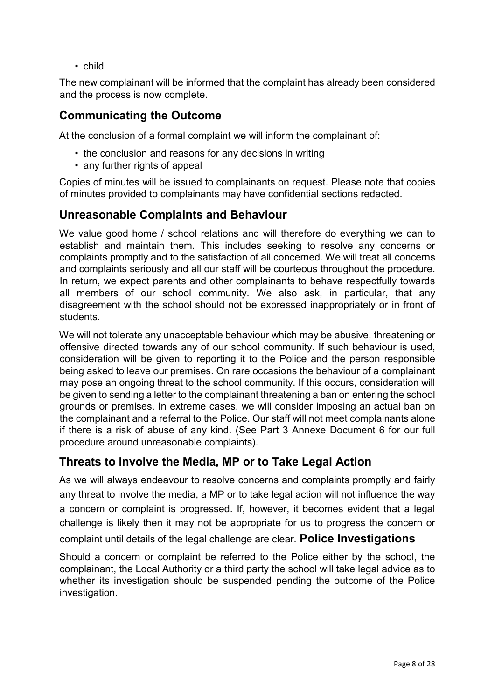• child

The new complainant will be informed that the complaint has already been considered and the process is now complete.

## **Communicating the Outcome**

At the conclusion of a formal complaint we will inform the complainant of:

- the conclusion and reasons for any decisions in writing
- any further rights of appeal

Copies of minutes will be issued to complainants on request. Please note that copies of minutes provided to complainants may have confidential sections redacted.

# **Unreasonable Complaints and Behaviour**

We value good home / school relations and will therefore do everything we can to establish and maintain them. This includes seeking to resolve any concerns or complaints promptly and to the satisfaction of all concerned. We will treat all concerns and complaints seriously and all our staff will be courteous throughout the procedure. In return, we expect parents and other complainants to behave respectfully towards all members of our school community. We also ask, in particular, that any disagreement with the school should not be expressed inappropriately or in front of students.

We will not tolerate any unacceptable behaviour which may be abusive, threatening or offensive directed towards any of our school community. If such behaviour is used, consideration will be given to reporting it to the Police and the person responsible being asked to leave our premises. On rare occasions the behaviour of a complainant may pose an ongoing threat to the school community. If this occurs, consideration will be given to sending a letter to the complainant threatening a ban on entering the school grounds or premises. In extreme cases, we will consider imposing an actual ban on the complainant and a referral to the Police. Our staff will not meet complainants alone if there is a risk of abuse of any kind. (See Part 3 Annexe Document 6 for our full procedure around unreasonable complaints).

#### **Threats to Involve the Media, MP or to Take Legal Action**

As we will always endeavour to resolve concerns and complaints promptly and fairly any threat to involve the media, a MP or to take legal action will not influence the way a concern or complaint is progressed. If, however, it becomes evident that a legal challenge is likely then it may not be appropriate for us to progress the concern or complaint until details of the legal challenge are clear. **Police Investigations** 

Should a concern or complaint be referred to the Police either by the school, the complainant, the Local Authority or a third party the school will take legal advice as to whether its investigation should be suspended pending the outcome of the Police investigation.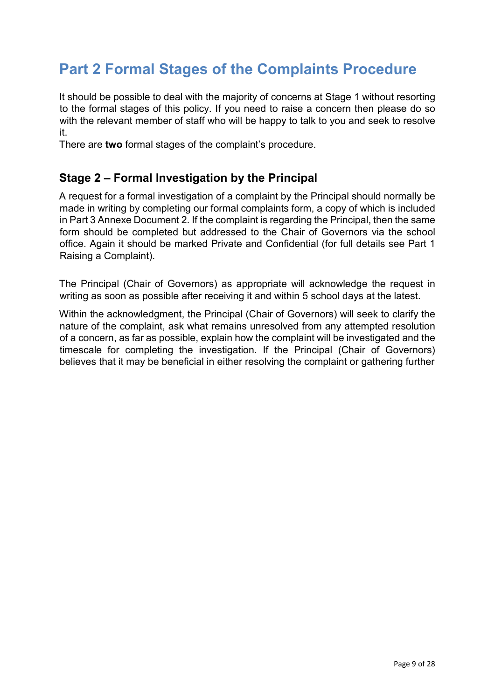# **Part 2 Formal Stages of the Complaints Procedure**

It should be possible to deal with the majority of concerns at Stage 1 without resorting to the formal stages of this policy. If you need to raise a concern then please do so with the relevant member of staff who will be happy to talk to you and seek to resolve it.

There are **two** formal stages of the complaint's procedure.

# **Stage 2 – Formal Investigation by the Principal**

A request for a formal investigation of a complaint by the Principal should normally be made in writing by completing our formal complaints form, a copy of which is included in Part 3 Annexe Document 2. If the complaint is regarding the Principal, then the same form should be completed but addressed to the Chair of Governors via the school office. Again it should be marked Private and Confidential (for full details see Part 1 Raising a Complaint).

The Principal (Chair of Governors) as appropriate will acknowledge the request in writing as soon as possible after receiving it and within 5 school days at the latest.

Within the acknowledgment, the Principal (Chair of Governors) will seek to clarify the nature of the complaint, ask what remains unresolved from any attempted resolution of a concern, as far as possible, explain how the complaint will be investigated and the timescale for completing the investigation. If the Principal (Chair of Governors) believes that it may be beneficial in either resolving the complaint or gathering further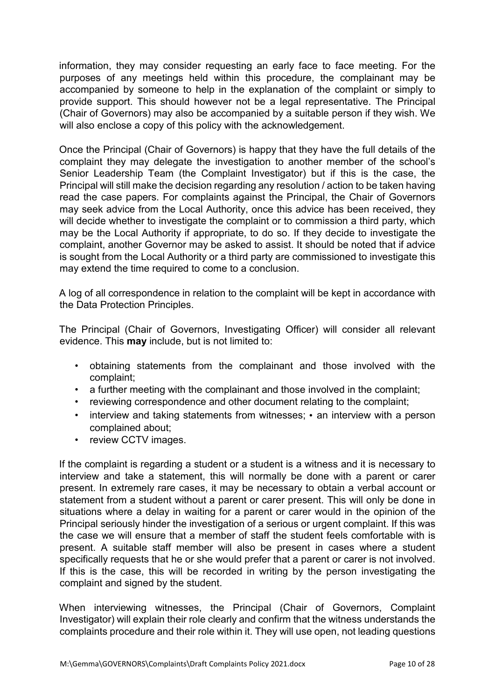information, they may consider requesting an early face to face meeting. For the purposes of any meetings held within this procedure, the complainant may be accompanied by someone to help in the explanation of the complaint or simply to provide support. This should however not be a legal representative. The Principal (Chair of Governors) may also be accompanied by a suitable person if they wish. We will also enclose a copy of this policy with the acknowledgement.

Once the Principal (Chair of Governors) is happy that they have the full details of the complaint they may delegate the investigation to another member of the school's Senior Leadership Team (the Complaint Investigator) but if this is the case, the Principal will still make the decision regarding any resolution / action to be taken having read the case papers. For complaints against the Principal, the Chair of Governors may seek advice from the Local Authority, once this advice has been received, they will decide whether to investigate the complaint or to commission a third party, which may be the Local Authority if appropriate, to do so. If they decide to investigate the complaint, another Governor may be asked to assist. It should be noted that if advice is sought from the Local Authority or a third party are commissioned to investigate this may extend the time required to come to a conclusion.

A log of all correspondence in relation to the complaint will be kept in accordance with the Data Protection Principles.

The Principal (Chair of Governors, Investigating Officer) will consider all relevant evidence. This **may** include, but is not limited to:

- obtaining statements from the complainant and those involved with the complaint;
- a further meeting with the complainant and those involved in the complaint;
- reviewing correspondence and other document relating to the complaint;
- interview and taking statements from witnesses; an interview with a person complained about;
- review CCTV images.

If the complaint is regarding a student or a student is a witness and it is necessary to interview and take a statement, this will normally be done with a parent or carer present. In extremely rare cases, it may be necessary to obtain a verbal account or statement from a student without a parent or carer present. This will only be done in situations where a delay in waiting for a parent or carer would in the opinion of the Principal seriously hinder the investigation of a serious or urgent complaint. If this was the case we will ensure that a member of staff the student feels comfortable with is present. A suitable staff member will also be present in cases where a student specifically requests that he or she would prefer that a parent or carer is not involved. If this is the case, this will be recorded in writing by the person investigating the complaint and signed by the student.

When interviewing witnesses, the Principal (Chair of Governors, Complaint Investigator) will explain their role clearly and confirm that the witness understands the complaints procedure and their role within it. They will use open, not leading questions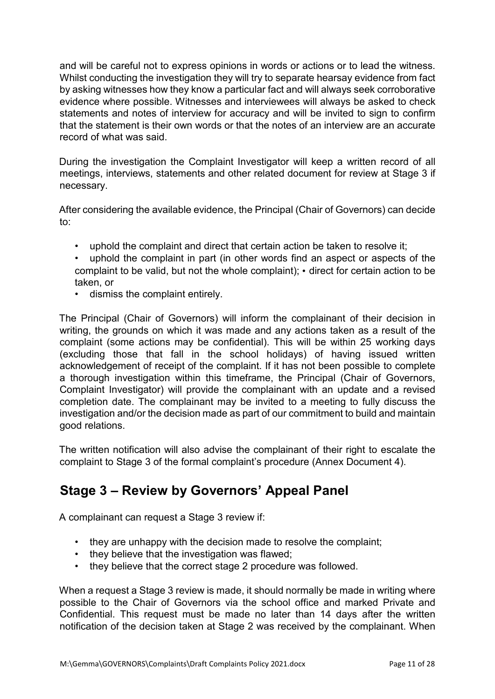and will be careful not to express opinions in words or actions or to lead the witness. Whilst conducting the investigation they will try to separate hearsay evidence from fact by asking witnesses how they know a particular fact and will always seek corroborative evidence where possible. Witnesses and interviewees will always be asked to check statements and notes of interview for accuracy and will be invited to sign to confirm that the statement is their own words or that the notes of an interview are an accurate record of what was said.

During the investigation the Complaint Investigator will keep a written record of all meetings, interviews, statements and other related document for review at Stage 3 if necessary.

After considering the available evidence, the Principal (Chair of Governors) can decide to:

- uphold the complaint and direct that certain action be taken to resolve it;
- uphold the complaint in part (in other words find an aspect or aspects of the complaint to be valid, but not the whole complaint); • direct for certain action to be taken, or
- dismiss the complaint entirely.

The Principal (Chair of Governors) will inform the complainant of their decision in writing, the grounds on which it was made and any actions taken as a result of the complaint (some actions may be confidential). This will be within 25 working days (excluding those that fall in the school holidays) of having issued written acknowledgement of receipt of the complaint. If it has not been possible to complete a thorough investigation within this timeframe, the Principal (Chair of Governors, Complaint Investigator) will provide the complainant with an update and a revised completion date. The complainant may be invited to a meeting to fully discuss the investigation and/or the decision made as part of our commitment to build and maintain good relations.

The written notification will also advise the complainant of their right to escalate the complaint to Stage 3 of the formal complaint's procedure (Annex Document 4).

# **Stage 3 – Review by Governors' Appeal Panel**

A complainant can request a Stage 3 review if:

- they are unhappy with the decision made to resolve the complaint;
- they believe that the investigation was flawed;
- they believe that the correct stage 2 procedure was followed.

When a request a Stage 3 review is made, it should normally be made in writing where possible to the Chair of Governors via the school office and marked Private and Confidential. This request must be made no later than 14 days after the written notification of the decision taken at Stage 2 was received by the complainant. When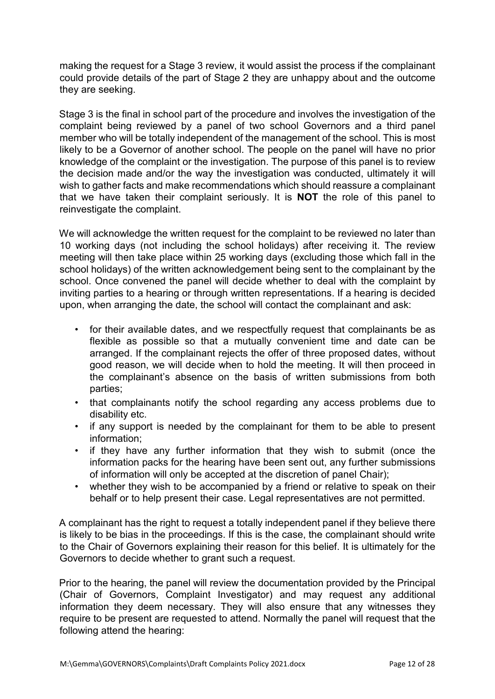making the request for a Stage 3 review, it would assist the process if the complainant could provide details of the part of Stage 2 they are unhappy about and the outcome they are seeking.

Stage 3 is the final in school part of the procedure and involves the investigation of the complaint being reviewed by a panel of two school Governors and a third panel member who will be totally independent of the management of the school. This is most likely to be a Governor of another school. The people on the panel will have no prior knowledge of the complaint or the investigation. The purpose of this panel is to review the decision made and/or the way the investigation was conducted, ultimately it will wish to gather facts and make recommendations which should reassure a complainant that we have taken their complaint seriously. It is **NOT** the role of this panel to reinvestigate the complaint.

We will acknowledge the written request for the complaint to be reviewed no later than 10 working days (not including the school holidays) after receiving it. The review meeting will then take place within 25 working days (excluding those which fall in the school holidays) of the written acknowledgement being sent to the complainant by the school. Once convened the panel will decide whether to deal with the complaint by inviting parties to a hearing or through written representations. If a hearing is decided upon, when arranging the date, the school will contact the complainant and ask:

- for their available dates, and we respectfully request that complainants be as flexible as possible so that a mutually convenient time and date can be arranged. If the complainant rejects the offer of three proposed dates, without good reason, we will decide when to hold the meeting. It will then proceed in the complainant's absence on the basis of written submissions from both parties;
- that complainants notify the school regarding any access problems due to disability etc.
- if any support is needed by the complainant for them to be able to present information;
- if they have any further information that they wish to submit (once the information packs for the hearing have been sent out, any further submissions of information will only be accepted at the discretion of panel Chair);
- whether they wish to be accompanied by a friend or relative to speak on their behalf or to help present their case. Legal representatives are not permitted.

A complainant has the right to request a totally independent panel if they believe there is likely to be bias in the proceedings. If this is the case, the complainant should write to the Chair of Governors explaining their reason for this belief. It is ultimately for the Governors to decide whether to grant such a request.

Prior to the hearing, the panel will review the documentation provided by the Principal (Chair of Governors, Complaint Investigator) and may request any additional information they deem necessary. They will also ensure that any witnesses they require to be present are requested to attend. Normally the panel will request that the following attend the hearing: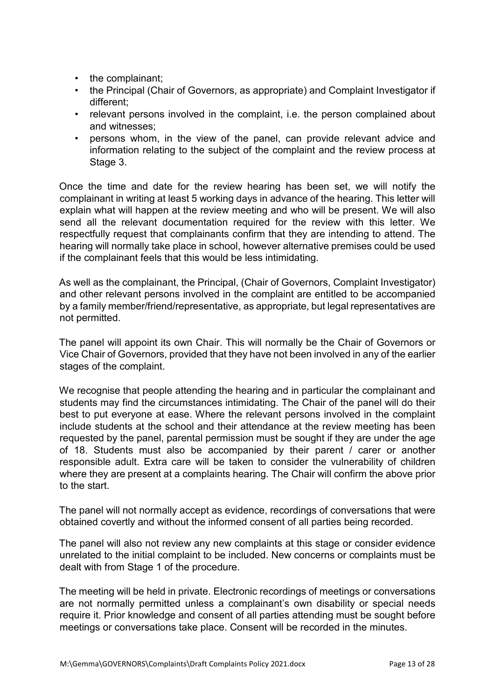- the complainant;
- the Principal (Chair of Governors, as appropriate) and Complaint Investigator if different;
- relevant persons involved in the complaint, i.e. the person complained about and witnesses;
- persons whom, in the view of the panel, can provide relevant advice and information relating to the subject of the complaint and the review process at Stage 3.

Once the time and date for the review hearing has been set, we will notify the complainant in writing at least 5 working days in advance of the hearing. This letter will explain what will happen at the review meeting and who will be present. We will also send all the relevant documentation required for the review with this letter. We respectfully request that complainants confirm that they are intending to attend. The hearing will normally take place in school, however alternative premises could be used if the complainant feels that this would be less intimidating.

As well as the complainant, the Principal, (Chair of Governors, Complaint Investigator) and other relevant persons involved in the complaint are entitled to be accompanied by a family member/friend/representative, as appropriate, but legal representatives are not permitted.

The panel will appoint its own Chair. This will normally be the Chair of Governors or Vice Chair of Governors, provided that they have not been involved in any of the earlier stages of the complaint.

We recognise that people attending the hearing and in particular the complainant and students may find the circumstances intimidating. The Chair of the panel will do their best to put everyone at ease. Where the relevant persons involved in the complaint include students at the school and their attendance at the review meeting has been requested by the panel, parental permission must be sought if they are under the age of 18. Students must also be accompanied by their parent / carer or another responsible adult. Extra care will be taken to consider the vulnerability of children where they are present at a complaints hearing. The Chair will confirm the above prior to the start.

The panel will not normally accept as evidence, recordings of conversations that were obtained covertly and without the informed consent of all parties being recorded.

The panel will also not review any new complaints at this stage or consider evidence unrelated to the initial complaint to be included. New concerns or complaints must be dealt with from Stage 1 of the procedure.

The meeting will be held in private. Electronic recordings of meetings or conversations are not normally permitted unless a complainant's own disability or special needs require it. Prior knowledge and consent of all parties attending must be sought before meetings or conversations take place. Consent will be recorded in the minutes.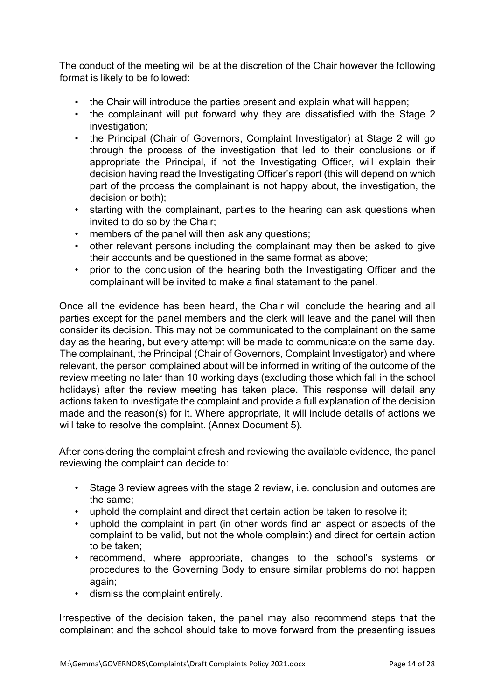The conduct of the meeting will be at the discretion of the Chair however the following format is likely to be followed:

- the Chair will introduce the parties present and explain what will happen;
- the complainant will put forward why they are dissatisfied with the Stage 2 investigation;
- the Principal (Chair of Governors, Complaint Investigator) at Stage 2 will go through the process of the investigation that led to their conclusions or if appropriate the Principal, if not the Investigating Officer, will explain their decision having read the Investigating Officer's report (this will depend on which part of the process the complainant is not happy about, the investigation, the decision or both);
- starting with the complainant, parties to the hearing can ask questions when invited to do so by the Chair;
- members of the panel will then ask any questions;
- other relevant persons including the complainant may then be asked to give their accounts and be questioned in the same format as above;
- prior to the conclusion of the hearing both the Investigating Officer and the complainant will be invited to make a final statement to the panel.

Once all the evidence has been heard, the Chair will conclude the hearing and all parties except for the panel members and the clerk will leave and the panel will then consider its decision. This may not be communicated to the complainant on the same day as the hearing, but every attempt will be made to communicate on the same day. The complainant, the Principal (Chair of Governors, Complaint Investigator) and where relevant, the person complained about will be informed in writing of the outcome of the review meeting no later than 10 working days (excluding those which fall in the school holidays) after the review meeting has taken place. This response will detail any actions taken to investigate the complaint and provide a full explanation of the decision made and the reason(s) for it. Where appropriate, it will include details of actions we will take to resolve the complaint. (Annex Document 5).

After considering the complaint afresh and reviewing the available evidence, the panel reviewing the complaint can decide to:

- Stage 3 review agrees with the stage 2 review, i.e. conclusion and outcmes are the same;
- uphold the complaint and direct that certain action be taken to resolve it;
- uphold the complaint in part (in other words find an aspect or aspects of the complaint to be valid, but not the whole complaint) and direct for certain action to be taken;
- recommend, where appropriate, changes to the school's systems or procedures to the Governing Body to ensure similar problems do not happen again;
- dismiss the complaint entirely.

Irrespective of the decision taken, the panel may also recommend steps that the complainant and the school should take to move forward from the presenting issues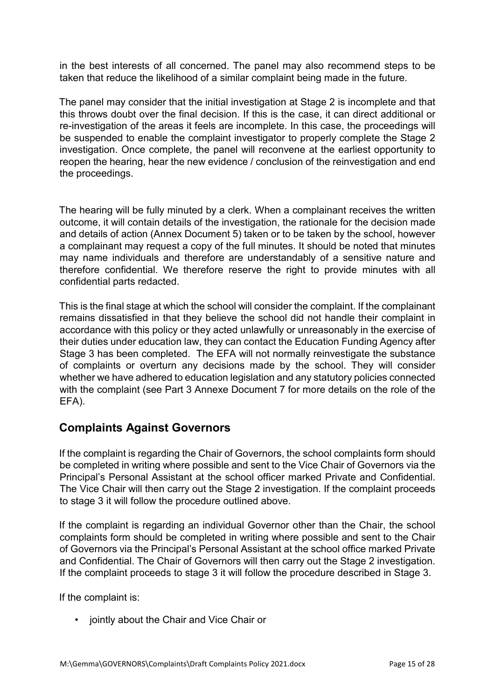in the best interests of all concerned. The panel may also recommend steps to be taken that reduce the likelihood of a similar complaint being made in the future.

The panel may consider that the initial investigation at Stage 2 is incomplete and that this throws doubt over the final decision. If this is the case, it can direct additional or re-investigation of the areas it feels are incomplete. In this case, the proceedings will be suspended to enable the complaint investigator to properly complete the Stage 2 investigation. Once complete, the panel will reconvene at the earliest opportunity to reopen the hearing, hear the new evidence / conclusion of the reinvestigation and end the proceedings.

The hearing will be fully minuted by a clerk. When a complainant receives the written outcome, it will contain details of the investigation, the rationale for the decision made and details of action (Annex Document 5) taken or to be taken by the school, however a complainant may request a copy of the full minutes. It should be noted that minutes may name individuals and therefore are understandably of a sensitive nature and therefore confidential. We therefore reserve the right to provide minutes with all confidential parts redacted.

This is the final stage at which the school will consider the complaint. If the complainant remains dissatisfied in that they believe the school did not handle their complaint in accordance with this policy or they acted unlawfully or unreasonably in the exercise of their duties under education law, they can contact the Education Funding Agency after Stage 3 has been completed. The EFA will not normally reinvestigate the substance of complaints or overturn any decisions made by the school. They will consider whether we have adhered to education legislation and any statutory policies connected with the complaint (see Part 3 Annexe Document 7 for more details on the role of the EFA).

#### **Complaints Against Governors**

If the complaint is regarding the Chair of Governors, the school complaints form should be completed in writing where possible and sent to the Vice Chair of Governors via the Principal's Personal Assistant at the school officer marked Private and Confidential. The Vice Chair will then carry out the Stage 2 investigation. If the complaint proceeds to stage 3 it will follow the procedure outlined above.

If the complaint is regarding an individual Governor other than the Chair, the school complaints form should be completed in writing where possible and sent to the Chair of Governors via the Principal's Personal Assistant at the school office marked Private and Confidential. The Chair of Governors will then carry out the Stage 2 investigation. If the complaint proceeds to stage 3 it will follow the procedure described in Stage 3.

If the complaint is:

• jointly about the Chair and Vice Chair or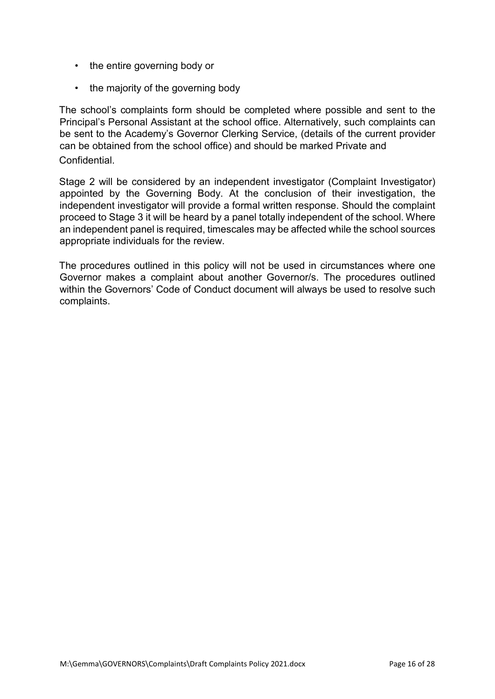- the entire governing body or
- the majority of the governing body

The school's complaints form should be completed where possible and sent to the Principal's Personal Assistant at the school office. Alternatively, such complaints can be sent to the Academy's Governor Clerking Service, (details of the current provider can be obtained from the school office) and should be marked Private and Confidential.

Stage 2 will be considered by an independent investigator (Complaint Investigator) appointed by the Governing Body. At the conclusion of their investigation, the independent investigator will provide a formal written response. Should the complaint proceed to Stage 3 it will be heard by a panel totally independent of the school. Where an independent panel is required, timescales may be affected while the school sources appropriate individuals for the review.

The procedures outlined in this policy will not be used in circumstances where one Governor makes a complaint about another Governor/s. The procedures outlined within the Governors' Code of Conduct document will always be used to resolve such complaints.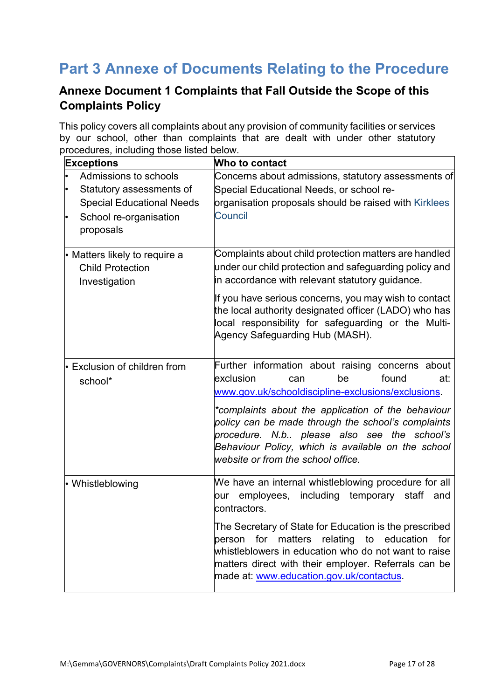# **Part 3 Annexe of Documents Relating to the Procedure**

# **Annexe Document 1 Complaints that Fall Outside the Scope of this Complaints Policy**

This policy covers all complaints about any provision of community facilities or services by our school, other than complaints that are dealt with under other statutory procedures, including those listed below.

| <b>Exceptions</b>                                 | Who to contact                                                                                                                                                                                                                                                                       |
|---------------------------------------------------|--------------------------------------------------------------------------------------------------------------------------------------------------------------------------------------------------------------------------------------------------------------------------------------|
| Admissions to schools<br>Statutory assessments of | Concerns about admissions, statutory assessments of<br>Special Educational Needs, or school re-                                                                                                                                                                                      |
| <b>Special Educational Needs</b>                  | organisation proposals should be raised with Kirklees                                                                                                                                                                                                                                |
| School re-organisation<br>proposals               | <b>Council</b>                                                                                                                                                                                                                                                                       |
| • Matters likely to require a                     | Complaints about child protection matters are handled                                                                                                                                                                                                                                |
| <b>Child Protection</b><br>Investigation          | under our child protection and safeguarding policy and<br>in accordance with relevant statutory guidance.                                                                                                                                                                            |
|                                                   | If you have serious concerns, you may wish to contact<br>the local authority designated officer (LADO) who has<br>local responsibility for safeguarding or the Multi-<br>Agency Safeguarding Hub (MASH).                                                                             |
| • Exclusion of children from<br>school*           | Further information about raising concerns about<br>lexclusion<br>found<br>be<br>at:<br>can<br>www.gov.uk/schooldiscipline-exclusions/exclusions.                                                                                                                                    |
|                                                   | *complaints about the application of the behaviour<br>policy can be made through the school's complaints<br>procedure. N.b please also see the school's<br>Behaviour Policy, which is available on the school<br>website or from the school office.                                  |
| • Whistleblowing                                  | We have an internal whistleblowing procedure for all<br>including temporary<br>employees,<br>staff<br>our<br>and<br>contractors.                                                                                                                                                     |
|                                                   | The Secretary of State for Education is the prescribed<br>relating<br>for<br>matters<br>to<br>education<br>for<br>person<br>whistleblowers in education who do not want to raise<br>matters direct with their employer. Referrals can be<br>made at: www.education.gov.uk/contactus. |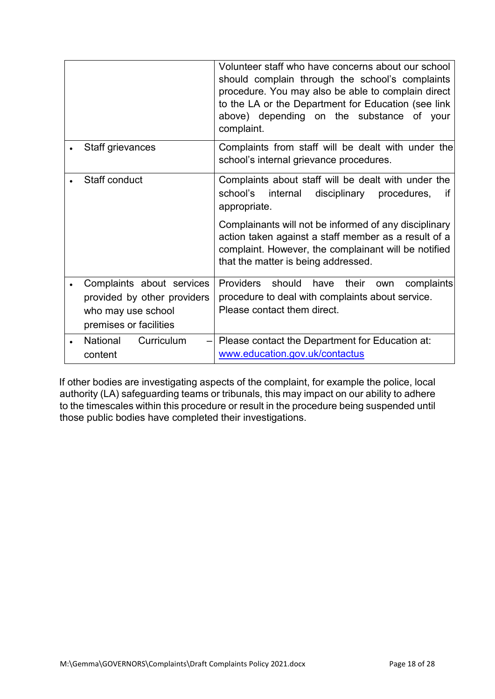|                                                                                                          | Volunteer staff who have concerns about our school<br>should complain through the school's complaints<br>procedure. You may also be able to complain direct<br>to the LA or the Department for Education (see link<br>above) depending on the substance of your<br>complaint. |
|----------------------------------------------------------------------------------------------------------|-------------------------------------------------------------------------------------------------------------------------------------------------------------------------------------------------------------------------------------------------------------------------------|
| Staff grievances                                                                                         | Complaints from staff will be dealt with under the<br>school's internal grievance procedures.                                                                                                                                                                                 |
| Staff conduct                                                                                            | Complaints about staff will be dealt with under the<br>school's<br>internal<br>disciplinary<br>procedures,<br>if<br>appropriate.                                                                                                                                              |
|                                                                                                          | Complainants will not be informed of any disciplinary<br>action taken against a staff member as a result of a<br>complaint. However, the complainant will be notified<br>that the matter is being addressed.                                                                  |
| Complaints about services<br>provided by other providers<br>who may use school<br>premises or facilities | Providers should have<br>their<br>complaints<br>own<br>procedure to deal with complaints about service.<br>Please contact them direct.                                                                                                                                        |
| National<br>Curriculum<br>content                                                                        | $-$ Please contact the Department for Education at:<br>www.education.gov.uk/contactus                                                                                                                                                                                         |

If other bodies are investigating aspects of the complaint, for example the police, local authority (LA) safeguarding teams or tribunals, this may impact on our ability to adhere to the timescales within this procedure or result in the procedure being suspended until those public bodies have completed their investigations.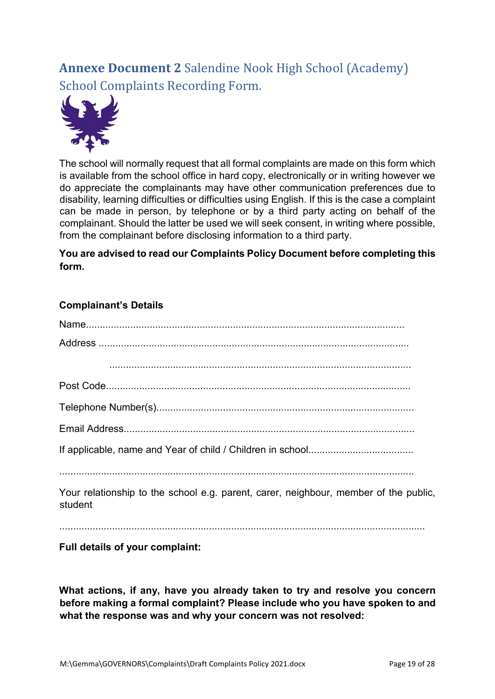# **Annexe Document 2** Salendine Nook High School (Academy) School Complaints Recording Form.



The school will normally request that all formal complaints are made on this form which is available from the school office in hard copy, electronically or in writing however we do appreciate the complainants may have other communication preferences due to disability, learning difficulties or difficulties using English. If this is the case a complaint can be made in person, by telephone or by a third party acting on behalf of the complainant. Should the latter be used we will seek consent, in writing where possible, from the complainant before disclosing information to a third party.

#### **You are advised to read our Complaints Policy Document before completing this form.**

#### **Complainant's Details**

| Your relationship to the school e.g. parent, carer, neighbour, member of the public,<br>student |
|-------------------------------------------------------------------------------------------------|
| Full details of your complaint:                                                                 |

**What actions, if any, have you already taken to try and resolve you concern before making a formal complaint? Please include who you have spoken to and what the response was and why your concern was not resolved:**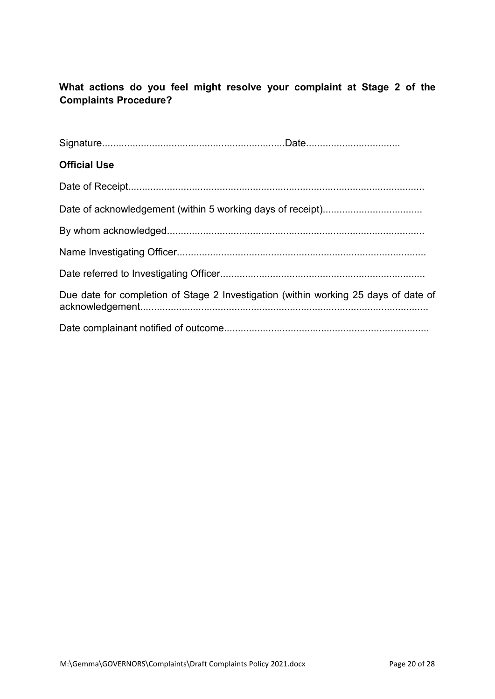#### **What actions do you feel might resolve your complaint at Stage 2 of the Complaints Procedure?**

| Due date for completion of Stage 2 Investigation (within working 25 days of date of |
|-------------------------------------------------------------------------------------|
|                                                                                     |
|                                                                                     |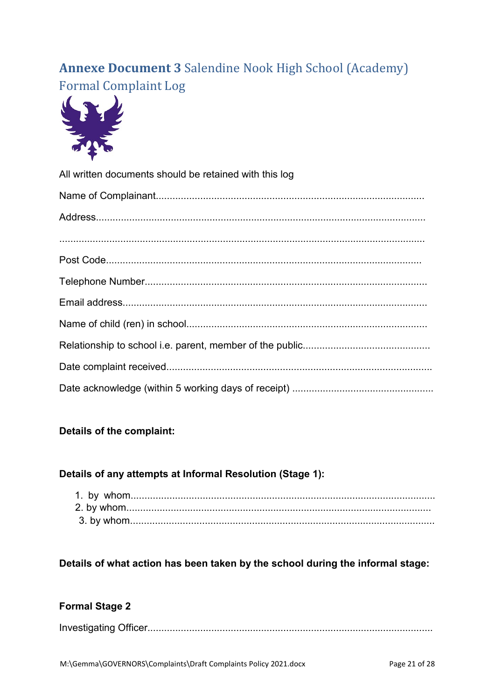# **Annexe Document 3 Salendine Nook High School (Academy) Formal Complaint Log**



| All written documents should be retained with this log |  |
|--------------------------------------------------------|--|
|                                                        |  |
|                                                        |  |
|                                                        |  |
|                                                        |  |
|                                                        |  |
|                                                        |  |
|                                                        |  |
|                                                        |  |
|                                                        |  |
|                                                        |  |

#### Details of the complaint:

#### Details of any attempts at Informal Resolution (Stage 1):

#### Details of what action has been taken by the school during the informal stage:

#### **Formal Stage 2**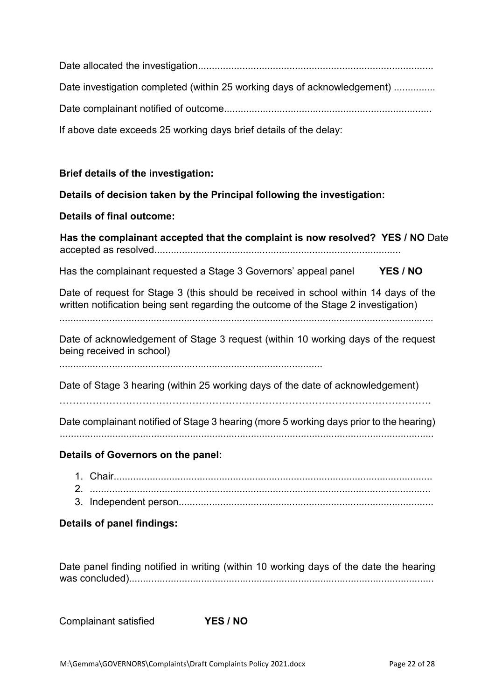Date allocated the investigation..................................................................................... Date investigation completed (within 25 working days of acknowledgement) .............. Date complainant notified of outcome........................................................................... If above date exceeds 25 working days brief details of the delay:

#### **Brief details of the investigation:**

**Details of decision taken by the Principal following the investigation:** 

#### **Details of final outcome:**

**Has the complainant accepted that the complaint is now resolved? YES / NO** Date accepted as resolved.........................................................................................

Has the complainant requested a Stage 3 Governors' appeal panel **YES / NO** 

Date of request for Stage 3 (this should be received in school within 14 days of the written notification being sent regarding the outcome of the Stage 2 investigation)

.......................................................................................................................................

Date of acknowledgement of Stage 3 request (within 10 working days of the request being received in school)

...............................................................................................

Date of Stage 3 hearing (within 25 working days of the date of acknowledgement)

………………………………………………………………………………………………….

Date complainant notified of Stage 3 hearing (more 5 working days prior to the hearing)

.......................................................................................................................................

#### **Details of Governors on the panel:**

- 1. Chair................................................................................................................... 2. ...........................................................................................................................
- 3. Independent person............................................................................................

#### **Details of panel findings:**

Date panel finding notified in writing (within 10 working days of the date the hearing was concluded)..............................................................................................................

Complainant satisfied **YES / NO**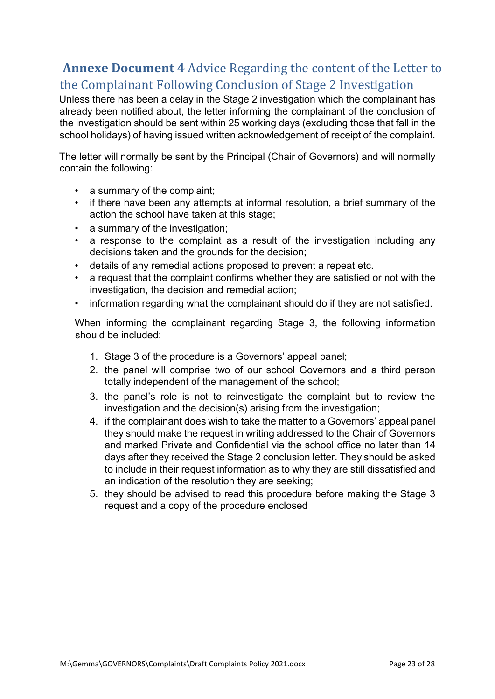# **Annexe Document 4** Advice Regarding the content of the Letter to the Complainant Following Conclusion of Stage 2 Investigation

Unless there has been a delay in the Stage 2 investigation which the complainant has already been notified about, the letter informing the complainant of the conclusion of the investigation should be sent within 25 working days (excluding those that fall in the school holidays) of having issued written acknowledgement of receipt of the complaint.

The letter will normally be sent by the Principal (Chair of Governors) and will normally contain the following:

- a summary of the complaint;
- if there have been any attempts at informal resolution, a brief summary of the action the school have taken at this stage;
- a summary of the investigation;
- a response to the complaint as a result of the investigation including any decisions taken and the grounds for the decision;
- details of any remedial actions proposed to prevent a repeat etc.
- a request that the complaint confirms whether they are satisfied or not with the investigation, the decision and remedial action;
- information regarding what the complainant should do if they are not satisfied.

When informing the complainant regarding Stage 3, the following information should be included:

- 1. Stage 3 of the procedure is a Governors' appeal panel;
- 2. the panel will comprise two of our school Governors and a third person totally independent of the management of the school;
- 3. the panel's role is not to reinvestigate the complaint but to review the investigation and the decision(s) arising from the investigation;
- 4. if the complainant does wish to take the matter to a Governors' appeal panel they should make the request in writing addressed to the Chair of Governors and marked Private and Confidential via the school office no later than 14 days after they received the Stage 2 conclusion letter. They should be asked to include in their request information as to why they are still dissatisfied and an indication of the resolution they are seeking;
- 5. they should be advised to read this procedure before making the Stage 3 request and a copy of the procedure enclosed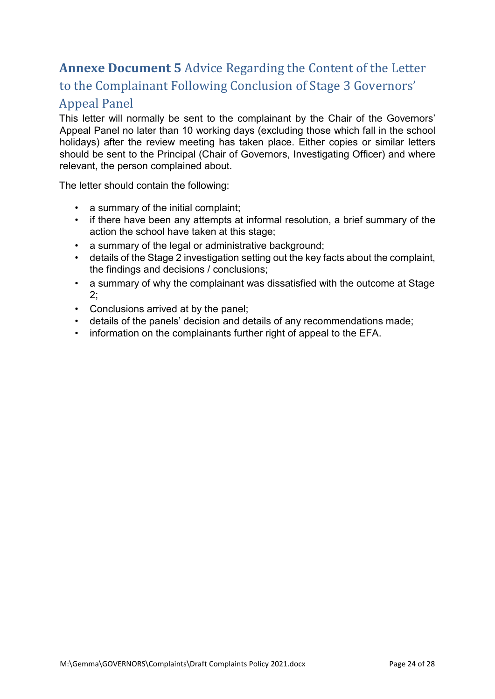# **Annexe Document 5** Advice Regarding the Content of the Letter to the Complainant Following Conclusion of Stage 3 Governors' Appeal Panel

This letter will normally be sent to the complainant by the Chair of the Governors' Appeal Panel no later than 10 working days (excluding those which fall in the school holidays) after the review meeting has taken place. Either copies or similar letters should be sent to the Principal (Chair of Governors, Investigating Officer) and where relevant, the person complained about.

The letter should contain the following:

- a summary of the initial complaint;
- if there have been any attempts at informal resolution, a brief summary of the action the school have taken at this stage;
- a summary of the legal or administrative background;
- details of the Stage 2 investigation setting out the key facts about the complaint, the findings and decisions / conclusions;
- a summary of why the complainant was dissatisfied with the outcome at Stage 2;
- Conclusions arrived at by the panel;
- details of the panels' decision and details of any recommendations made;
- information on the complainants further right of appeal to the EFA.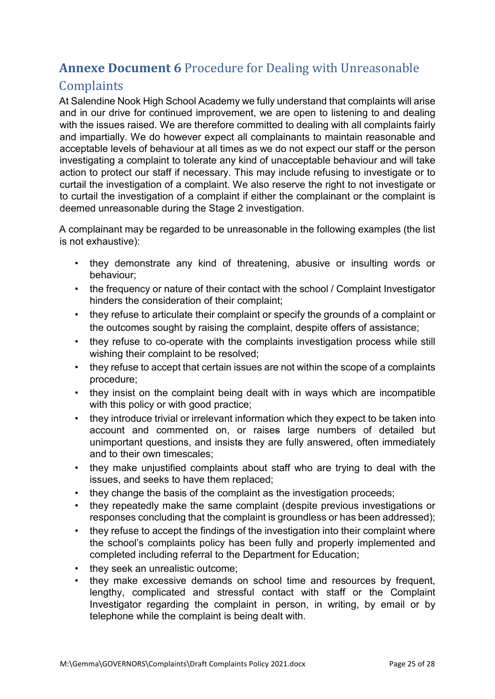# **Annexe Document 6** Procedure for Dealing with Unreasonable

# **Complaints**

At Salendine Nook High School Academy we fully understand that complaints will arise and in our drive for continued improvement, we are open to listening to and dealing with the issues raised. We are therefore committed to dealing with all complaints fairly and impartially. We do however expect all complainants to maintain reasonable and acceptable levels of behaviour at all times as we do not expect our staff or the person investigating a complaint to tolerate any kind of unacceptable behaviour and will take action to protect our staff if necessary. This may include refusing to investigate or to curtail the investigation of a complaint. We also reserve the right to not investigate or to curtail the investigation of a complaint if either the complainant or the complaint is deemed unreasonable during the Stage 2 investigation.

A complainant may be regarded to be unreasonable in the following examples (the list is not exhaustive):

- they demonstrate any kind of threatening, abusive or insulting words or behaviour;
- the frequency or nature of their contact with the school / Complaint Investigator hinders the consideration of their complaint;
- they refuse to articulate their complaint or specify the grounds of a complaint or the outcomes sought by raising the complaint, despite offers of assistance;
- they refuse to co-operate with the complaints investigation process while still wishing their complaint to be resolved;
- they refuse to accept that certain issues are not within the scope of a complaints procedure;
- they insist on the complaint being dealt with in ways which are incompatible with this policy or with good practice;
- they introduce trivial or irrelevant information which they expect to be taken into account and commented on, or raises large numbers of detailed but unimportant questions, and insists they are fully answered, often immediately and to their own timescales;
- they make unjustified complaints about staff who are trying to deal with the issues, and seeks to have them replaced;
- they change the basis of the complaint as the investigation proceeds;
- they repeatedly make the same complaint (despite previous investigations or responses concluding that the complaint is groundless or has been addressed);
- they refuse to accept the findings of the investigation into their complaint where the school's complaints policy has been fully and properly implemented and completed including referral to the Department for Education;
- they seek an unrealistic outcome;
- they make excessive demands on school time and resources by frequent, lengthy, complicated and stressful contact with staff or the Complaint Investigator regarding the complaint in person, in writing, by email or by telephone while the complaint is being dealt with.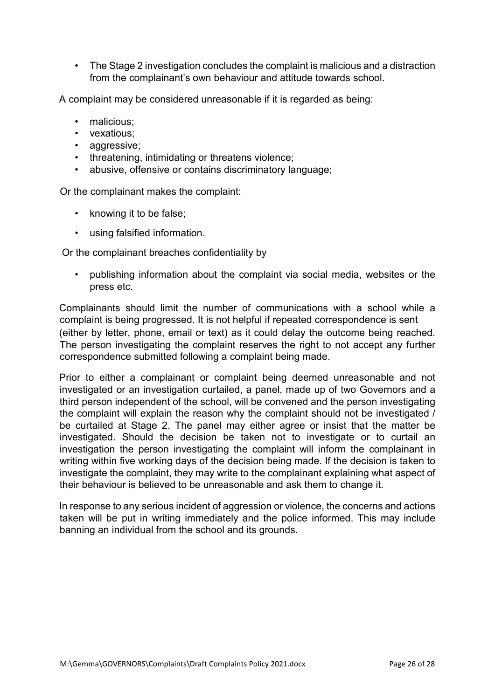• The Stage 2 investigation concludes the complaint is malicious and a distraction from the complainant's own behaviour and attitude towards school.

A complaint may be considered unreasonable if it is regarded as being:

- malicious:
- vexatious:
- aggressive:
- threatening, intimidating or threatens violence;
- abusive, offensive or contains discriminatory language;

Or the complainant makes the complaint:

- knowing it to be false;
- using falsified information.

Or the complainant breaches confidentiality by

• publishing information about the complaint via social media, websites or the press etc.

Complainants should limit the number of communications with a school while a complaint is being progressed. It is not helpful if repeated correspondence is sent (either by letter, phone, email or text) as it could delay the outcome being reached. The person investigating the complaint reserves the right to not accept any further correspondence submitted following a complaint being made.

Prior to either a complainant or complaint being deemed unreasonable and not investigated or an investigation curtailed, a panel, made up of two Governors and a third person independent of the school, will be convened and the person investigating the complaint will explain the reason why the complaint should not be investigated / be curtailed at Stage 2. The panel may either agree or insist that the matter be investigated. Should the decision be taken not to investigate or to curtail an investigation the person investigating the complaint will inform the complainant in writing within five working days of the decision being made. If the decision is taken to investigate the complaint, they may write to the complainant explaining what aspect of their behaviour is believed to be unreasonable and ask them to change it.

In response to any serious incident of aggression or violence, the concerns and actions taken will be put in writing immediately and the police informed. This may include banning an individual from the school and its grounds.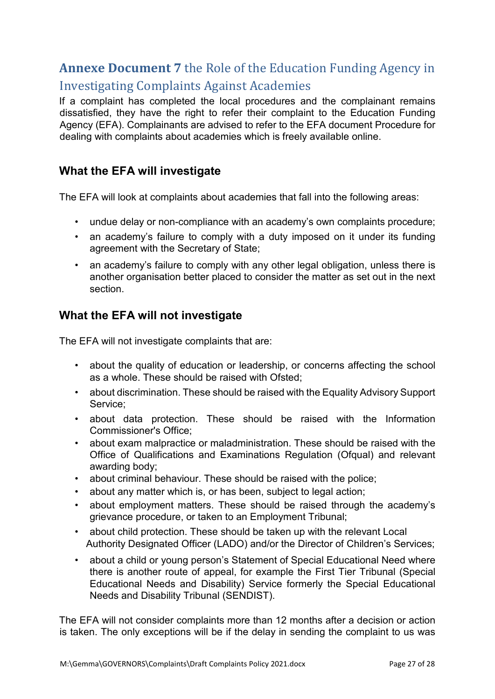# **Annexe Document 7** the Role of the Education Funding Agency in Investigating Complaints Against Academies

If a complaint has completed the local procedures and the complainant remains dissatisfied, they have the right to refer their complaint to the Education Funding Agency (EFA). Complainants are advised to refer to the EFA document Procedure for dealing with complaints about academies which is freely available online.

#### **What the EFA will investigate**

The EFA will look at complaints about academies that fall into the following areas:

- undue delay or non-compliance with an academy's own complaints procedure;
- an academy's failure to comply with a duty imposed on it under its funding agreement with the Secretary of State;
- an academy's failure to comply with any other legal obligation, unless there is another organisation better placed to consider the matter as set out in the next section.

#### **What the EFA will not investigate**

The EFA will not investigate complaints that are:

- about the quality of education or leadership, or concerns affecting the school as a whole. These should be raised with Ofsted;
- about discrimination. These should be raised with the Equality Advisory Support Service;
- about data protection. These should be raised with the Information Commissioner's Office;
- about exam malpractice or maladministration. These should be raised with the Office of Qualifications and Examinations Regulation (Ofqual) and relevant awarding body;
- about criminal behaviour. These should be raised with the police;
- about any matter which is, or has been, subject to legal action;
- about employment matters. These should be raised through the academy's grievance procedure, or taken to an Employment Tribunal;
- about child protection. These should be taken up with the relevant Local Authority Designated Officer (LADO) and/or the Director of Children's Services;
- about a child or young person's Statement of Special Educational Need where there is another route of appeal, for example the First Tier Tribunal (Special Educational Needs and Disability) Service formerly the Special Educational Needs and Disability Tribunal (SENDIST).

The EFA will not consider complaints more than 12 months after a decision or action is taken. The only exceptions will be if the delay in sending the complaint to us was